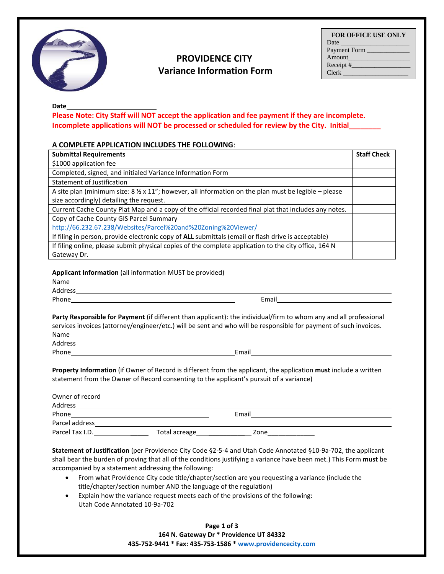

## **PROVIDENCE CITY Variance Information Form**

**Date**

**Please Note: City Staff will NOT accept the application and fee payment if they are incomplete. Incomplete applications will NOT be processed or scheduled for review by the City. Initial\_\_\_\_\_\_\_\_** 

## **A COMPLETE APPLICATION INCLUDES THE FOLLOWING**:

| <b>Submittal Requirements</b>                                                                                         | <b>Staff Check</b> |
|-----------------------------------------------------------------------------------------------------------------------|--------------------|
| \$1000 application fee                                                                                                |                    |
| Completed, signed, and initialed Variance Information Form                                                            |                    |
| Statement of Justification                                                                                            |                    |
| A site plan (minimum size: $8 \frac{1}{2} \times 11$ "; however, all information on the plan must be legible - please |                    |
| size accordingly) detailing the request.                                                                              |                    |
| Current Cache County Plat Map and a copy of the official recorded final plat that includes any notes.                 |                    |
| Copy of Cache County GIS Parcel Summary                                                                               |                    |
| http://66.232.67.238/Websites/Parcel%20and%20Zoning%20Viewer/                                                         |                    |
| If filing in person, provide electronic copy of ALL submittals (email or flash drive is acceptable)                   |                    |
| If filing online, please submit physical copies of the complete application to the city office, 164 N                 |                    |
| Gateway Dr.                                                                                                           |                    |

**Applicant Information** (all information MUST be provided)

| Name    |       |
|---------|-------|
| Address |       |
| Phone   | Email |
|         |       |
|         |       |

**Party Responsible for Payment** (if different than applicant): the individual/firm to whom any and all professional services invoices (attorney/engineer/etc.) will be sent and who will be responsible for payment of such invoices. Name Address and the contract of the contract of the contract of the contract of the contract of the contract of the contract of the contract of the contract of the contract of the contract of the contract of the contract of th

Phone **Email Email** 

**Property Information** (if Owner of Record is different from the applicant, the application **must** include a written statement from the Owner of Record consenting to the applicant's pursuit of a variance)

| Owner of record |               |       |  |
|-----------------|---------------|-------|--|
| Address         |               |       |  |
| Phone           |               | Email |  |
| Parcel address  |               |       |  |
| Parcel Tax I.D. | Total acreage | Zone  |  |

**Statement of Justification** (per Providence City Code §2-5-4 and Utah Code Annotated §10-9a-702, the applicant shall bear the burden of proving that all of the conditions justifying a variance have been met.) This Form **must** be accompanied by a statement addressing the following:

- From what Providence City code title/chapter/section are you requesting a variance (include the title/chapter/section number AND the language of the regulation)
- Explain how the variance request meets each of the provisions of the following: Utah Code Annotated 10-9a-702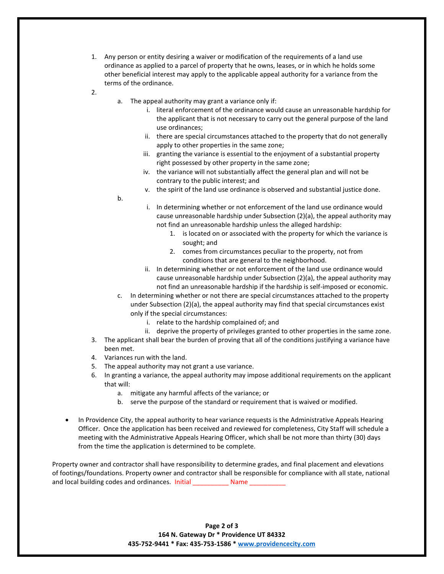- 1. Any person or entity desiring a waiver or modification of the requirements of a land use ordinance as applied to a parcel of property that he owns, leases, or in which he holds some other beneficial interest may apply to the applicable appeal authority for a variance from the terms of the ordinance.
- 2.
- a. The appeal authority may grant a variance only if:
	- i. literal enforcement of the ordinance would cause an unreasonable hardship for the applicant that is not necessary to carry out the general purpose of the land use ordinances;
	- ii. there are special circumstances attached to the property that do not generally apply to other properties in the same zone;
	- iii. granting the variance is essential to the enjoyment of a substantial property right possessed by other property in the same zone;
	- iv. the variance will not substantially affect the general plan and will not be contrary to the public interest; and
	- v. the spirit of the land use ordinance is observed and substantial justice done.
- b.

i. In determining whether or not enforcement of the land use ordinance would cause unreasonable hardship under Subsection (2)(a), the appeal authority may not find an unreasonable hardship unless the alleged hardship:

- 1. is located on or associated with the property for which the variance is sought; and
- 2. comes from circumstances peculiar to the property, not from conditions that are general to the neighborhood.
- ii. In determining whether or not enforcement of the land use ordinance would cause unreasonable hardship under Subsection (2)(a), the appeal authority may not find an unreasonable hardship if the hardship is self-imposed or economic.
- c. In determining whether or not there are special circumstances attached to the property under Subsection (2)(a), the appeal authority may find that special circumstances exist only if the special circumstances:
	- i. relate to the hardship complained of; and
	- ii. deprive the property of privileges granted to other properties in the same zone.
- 3. The applicant shall bear the burden of proving that all of the conditions justifying a variance have been met.
- 4. Variances run with the land.
- 5. The appeal authority may not grant a use variance.
- 6. In granting a variance, the appeal authority may impose additional requirements on the applicant that will:
	- a. mitigate any harmful affects of the variance; or
	- b. serve the purpose of the standard or requirement that is waived or modified.
- In Providence City, the appeal authority to hear variance requests is the Administrative Appeals Hearing Officer. Once the application has been received and reviewed for completeness, City Staff will schedule a meeting with the Administrative Appeals Hearing Officer, which shall be not more than thirty (30) days from the time the application is determined to be complete.

Property owner and contractor shall have responsibility to determine grades, and final placement and elevations of footings/foundations. Property owner and contractor shall be responsible for compliance with all state, national and local building codes and ordinances. Initial \_\_\_\_\_\_\_\_\_\_\_ Name